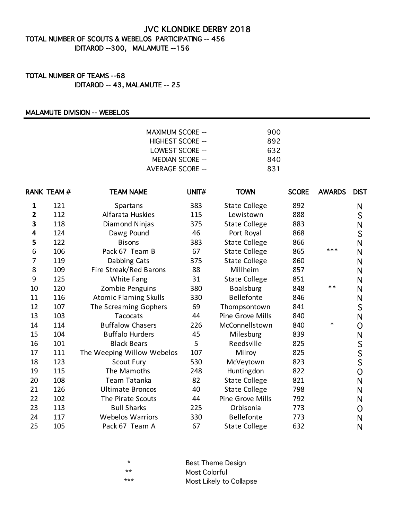## JVC KLONDIKE DERBY 2018

## TOTAL NUMBER OF SCOUTS & WEBELOS PARTICIPATING -- 456 IDITAROD --300, MALAMUTE --156

## TOTAL NUMBER OF TEAMS --68 IDITAROD -- 43, MALAMUTE -- 25

#### MALAMUTE DIVISION -- WEBELOS

| 900 |
|-----|
| 892 |
| 632 |
| 840 |
| 831 |
|     |

|                | RANK TEAM# | <b>TEAM NAME</b>             | UNIT# | <b>TOWN</b>          | <b>SCORE</b> | <b>AWARDS</b> | <b>DIST</b>    |
|----------------|------------|------------------------------|-------|----------------------|--------------|---------------|----------------|
| 1              | 121        | Spartans                     | 383   | <b>State College</b> | 892          |               | N              |
| $\overline{2}$ | 112        | Alfarata Huskies             | 115   | Lewistown            | 888          |               | S              |
| 3              | 118        | Diamond Ninjas               | 375   | <b>State College</b> | 883          |               | N              |
| 4              | 124        | Dawg Pound                   | 46    | Port Royal           | 868          |               | S              |
| 5              | 122        | <b>Bisons</b>                | 383   | <b>State College</b> | 866          |               | N              |
| 6              | 106        | Pack 67 Team B               | 67    | <b>State College</b> | 865          | ***           | N              |
| 7              | 119        | Dabbing Cats                 | 375   | <b>State College</b> | 860          |               | N              |
| 8              | 109        | Fire Streak/Red Barons       | 88    | Millheim             | 857          |               | N              |
| 9              | 125        | White Fang                   | 31    | <b>State College</b> | 851          |               | N              |
| 10             | 120        | Zombie Penguins              | 380   | <b>Boalsburg</b>     | 848          | $***$         | N              |
| 11             | 116        | <b>Atomic Flaming Skulls</b> | 330   | <b>Bellefonte</b>    | 846          |               | N              |
| 12             | 107        | The Screaming Gophers        | 69    | Thompsontown         | 841          |               | S              |
| 13             | 103        | Tacocats                     | 44    | Pine Grove Mills     | 840          |               | N              |
| 14             | 114        | <b>Buffalow Chasers</b>      | 226   | McConnellstown       | 840          | *             | 0              |
| 15             | 104        | <b>Buffalo Hurders</b>       | 45    | Milesburg            | 839          |               | N              |
| 16             | 101        | <b>Black Bears</b>           | 5     | Reedsville           | 825          |               | S              |
| 17             | 111        | The Weeping Willow Webelos   | 107   | Milroy               | 825          |               | S              |
| 18             | 123        | Scout Fury                   | 530   | McVeytown            | 823          |               | $\overline{S}$ |
| 19             | 115        | The Mamoths                  | 248   | Huntingdon           | 822          |               | 0              |
| 20             | 108        | Team Tatanka                 | 82    | <b>State College</b> | 821          |               | N              |
| 21             | 126        | <b>Ultimate Broncos</b>      | 40    | <b>State College</b> | 798          |               | N              |
| 22             | 102        | The Pirate Scouts            | 44    | Pine Grove Mills     | 792          |               | N              |
| 23             | 113        | <b>Bull Sharks</b>           | 225   | Orbisonia            | 773          |               | O              |
| 24             | 117        | <b>Webelos Warriors</b>      | 330   | Bellefonte           | 773          |               | N              |
| 25             | 105        | Pack 67 Team A               | 67    | <b>State College</b> | 632          |               | N              |

| *     | <b>Best Theme Design</b> |
|-------|--------------------------|
| $**$  | Most Colorful            |
| $***$ | Most Likely to Collapse  |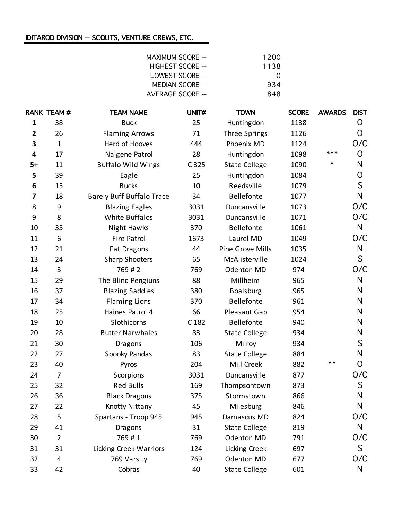# IDITAROD DIVISION -- SCOUTS, VENTURE CREWS, ETC.

| <b>MAXIMUM SCORE --</b> | 1200             |
|-------------------------|------------------|
| HIGHEST SCORE --        | 1138             |
| LOWEST SCORE --         | $\left( \right)$ |
| MEDIAN SCORE --         | 934              |
| AVERAGE SCORE --        | 848              |

|                         | <b>RANK TEAM#</b> | <b>TEAM NAME</b>                 | UNIT# | <b>TOWN</b>          | <b>SCORE</b> | <b>AWARDS</b> | <b>DIST</b>  |
|-------------------------|-------------------|----------------------------------|-------|----------------------|--------------|---------------|--------------|
| $\mathbf{1}$            | 38                | <b>Buck</b>                      | 25    | Huntingdon           | 1138         |               | O            |
| $\overline{\mathbf{2}}$ | 26                | <b>Flaming Arrows</b>            | 71    | Three Springs        | 1126         |               | O            |
| 3                       | $\mathbf{1}$      | Herd of Hooves                   | 444   | Phoenix MD           | 1124         |               | O/C          |
| 4                       | 17                | Nalgene Patrol                   | 28    | Huntingdon           | 1098         | ***           | O            |
| $5+$                    | 11                | <b>Buffalo Wild Wings</b>        | C 325 | <b>State College</b> | 1090         | $\ast$        | N            |
| 5                       | 39                | Eagle                            | 25    | Huntingdon           | 1084         |               | O            |
| 6                       | 15                | <b>Bucks</b>                     | 10    | Reedsville           | 1079         |               | S            |
| 7                       | 18                | <b>Barely Buff Buffalo Trace</b> | 34    | Bellefonte           | 1077         |               | $\mathsf{N}$ |
| 8                       | 9                 | <b>Blazing Eagles</b>            | 3031  | Duncansville         | 1073         |               | O/C          |
| 9                       | 8                 | <b>White Buffalos</b>            | 3031  | Duncansville         | 1071         |               | O/C          |
| 10                      | 35                | Night Hawks                      | 370   | Bellefonte           | 1061         |               | $\mathsf{N}$ |
| 11                      | 6                 | <b>Fire Patrol</b>               | 1673  | Laurel MD            | 1049         |               | O/C          |
| 12                      | 21                | Fat Dragons                      | 44    | Pine Grove Mills     | 1035         |               | N            |
| 13                      | 24                | <b>Sharp Shooters</b>            | 65    | McAlisterville       | 1024         |               | S            |
| 14                      | 3                 | 769#2                            | 769   | Odenton MD           | 974          |               | O/C          |
| 15                      | 29                | The Blind Pengiuns               | 88    | Millheim             | 965          |               | N            |
| 16                      | 37                | <b>Blazing Saddles</b>           | 380   | <b>Boalsburg</b>     | 965          |               | N            |
| 17                      | 34                | <b>Flaming Lions</b>             | 370   | Bellefonte           | 961          |               | N            |
| 18                      | 25                | Haines Patrol 4                  | 66    | Pleasant Gap         | 954          |               | N            |
| 19                      | 10                | Slothicorns                      | C 182 | Bellefonte           | 940          |               | N            |
| 20                      | 28                | <b>Butter Narwhales</b>          | 83    | <b>State College</b> | 934          |               | N            |
| 21                      | 30                | <b>Dragons</b>                   | 106   | Milroy               | 934          |               | S            |
| 22                      | 27                | Spooky Pandas                    | 83    | <b>State College</b> | 884          |               | N            |
| 23                      | 40                | Pyros                            | 204   | Mill Creek           | 882          | $***$         | O            |
| 24                      | $\overline{7}$    | Scorpions                        | 3031  | Duncansville         | 877          |               | O/C          |
| 25                      | 32                | <b>Red Bulls</b>                 | 169   | Thompsontown         | 873          |               | S            |
| 26                      | 36                | <b>Black Dragons</b>             | 375   | Stormstown           | 866          |               | $\mathsf{N}$ |
| 27                      | 22                | <b>Knotty Nittany</b>            | 45    | Milesburg            | 846          |               | N            |
| 28                      | 5                 | Spartans - Troop 945             | 945   | Damascus MD          | 824          |               | O/C          |
| 29                      | 41                | <b>Dragons</b>                   | 31    | <b>State College</b> | 819          |               | N            |
| 30                      | $\overline{2}$    | 769#1                            | 769   | Odenton MD           | 791          |               | O/C          |
| 31                      | 31                | <b>Licking Creek Warriors</b>    | 124   | Licking Creek        | 697          |               | S            |
| 32                      | 4                 | 769 Varsity                      | 769   | Odenton MD           | 677          |               | O/C          |
| 33                      | 42                | Cobras                           | 40    | <b>State College</b> | 601          |               | N            |